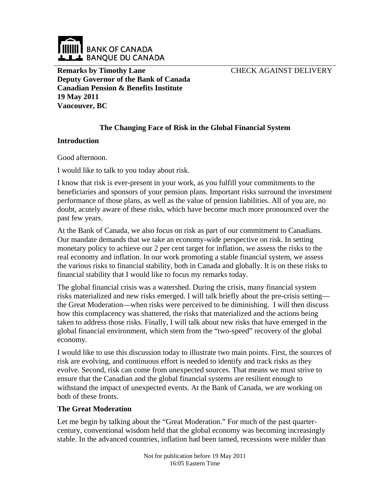

**Remarks by Timothy Lane Deputy Governor of the Bank of Canada Canadian Pension & Benefits Institute 19 May 2011 Vancouver, BC**

CHECK AGAINST DELIVERY

# **The Changing Face of Risk in the Global Financial System**

### **Introduction**

Good afternoon.

I would like to talk to you today about risk.

I know that risk is ever-present in your work, as you fulfill your commitments to the beneficiaries and sponsors of your pension plans. Important risks surround the investment performance of those plans, as well as the value of pension liabilities. All of you are, no doubt, acutely aware of these risks, which have become much more pronounced over the past few years.

At the Bank of Canada, we also focus on risk as part of our commitment to Canadians. Our mandate demands that we take an economy-wide perspective on risk. In setting monetary policy to achieve our 2 per cent target for inflation, we assess the risks to the real economy and inflation. In our work promoting a stable financial system, we assess the various risks to financial stability, both in Canada and globally. It is on these risks to financial stability that I would like to focus my remarks today.

The global financial crisis was a watershed. During the crisis, many financial system risks materialized and new risks emerged. I will talk briefly about the pre-crisis setting the Great Moderation—when risks were perceived to be diminishing. I will then discuss how this complacency was shattered, the risks that materialized and the actions being taken to address those risks. Finally, I will talk about new risks that have emerged in the global financial environment, which stem from the "two-speed" recovery of the global economy.

I would like to use this discussion today to illustrate two main points. First, the sources of risk are evolving, and continuous effort is needed to identify and track risks as they evolve. Second, risk can come from unexpected sources. That means we must strive to ensure that the Canadian and the global financial systems are resilient enough to withstand the impact of unexpected events. At the Bank of Canada, we are working on both of these fronts.

### **The Great Moderation**

Let me begin by talking about the "Great Moderation." For much of the past quartercentury, conventional wisdom held that the global economy was becoming increasingly stable. In the advanced countries, inflation had been tamed, recessions were milder than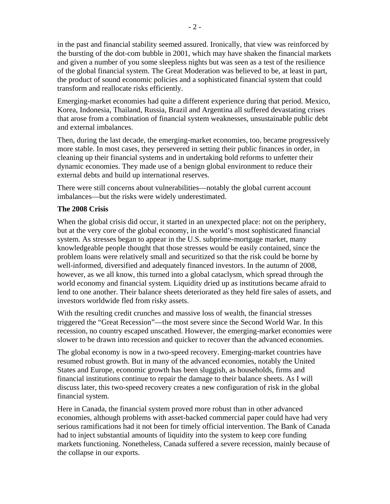in the past and financial stability seemed assured. Ironically, that view was reinforced by the bursting of the dot-com bubble in 2001, which may have shaken the financial markets and given a number of you some sleepless nights but was seen as a test of the resilience of the global financial system. The Great Moderation was believed to be, at least in part, the product of sound economic policies and a sophisticated financial system that could transform and reallocate risks efficiently.

Emerging-market economies had quite a different experience during that period. Mexico, Korea, Indonesia, Thailand, Russia, Brazil and Argentina all suffered devastating crises that arose from a combination of financial system weaknesses, unsustainable public debt and external imbalances.

Then, during the last decade, the emerging-market economies, too, became progressively more stable. In most cases, they persevered in setting their public finances in order, in cleaning up their financial systems and in undertaking bold reforms to unfetter their dynamic economies. They made use of a benign global environment to reduce their external debts and build up international reserves.

There were still concerns about vulnerabilities—notably the global current account imbalances—but the risks were widely underestimated.

### **The 2008 Crisis**

When the global crisis did occur, it started in an unexpected place: not on the periphery, but at the very core of the global economy, in the world's most sophisticated financial system. As stresses began to appear in the U.S. subprime-mortgage market, many knowledgeable people thought that those stresses would be easily contained, since the problem loans were relatively small and securitized so that the risk could be borne by well-informed, diversified and adequately financed investors. In the autumn of 2008, however, as we all know, this turned into a global cataclysm, which spread through the world economy and financial system. Liquidity dried up as institutions became afraid to lend to one another. Their balance sheets deteriorated as they held fire sales of assets, and investors worldwide fled from risky assets.

With the resulting credit crunches and massive loss of wealth, the financial stresses triggered the "Great Recession"—the most severe since the Second World War. In this recession, no country escaped unscathed. However, the emerging-market economies were slower to be drawn into recession and quicker to recover than the advanced economies.

The global economy is now in a two-speed recovery. Emerging-market countries have resumed robust growth. But in many of the advanced economies, notably the United States and Europe, economic growth has been sluggish, as households, firms and financial institutions continue to repair the damage to their balance sheets. As I will discuss later, this two-speed recovery creates a new configuration of risk in the global financial system.

Here in Canada, the financial system proved more robust than in other advanced economies, although problems with asset-backed commercial paper could have had very serious ramifications had it not been for timely official intervention. The Bank of Canada had to inject substantial amounts of liquidity into the system to keep core funding markets functioning. Nonetheless, Canada suffered a severe recession, mainly because of the collapse in our exports.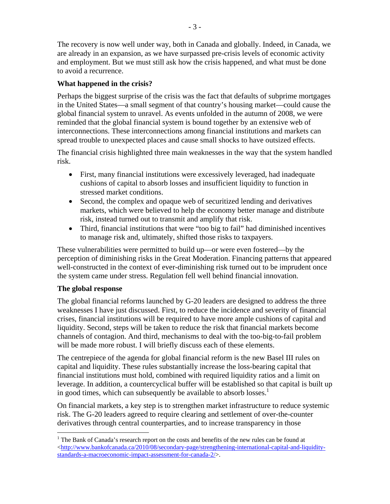The recovery is now well under way, both in Canada and globally. Indeed, in Canada, we are already in an expansion, as we have surpassed pre-crisis levels of economic activity and employment. But we must still ask how the crisis happened, and what must be done to avoid a recurrence.

## **What happened in the crisis?**

Perhaps the biggest surprise of the crisis was the fact that defaults of subprime mortgages in the United States—a small segment of that country's housing market—could cause the global financial system to unravel. As events unfolded in the autumn of 2008, we were reminded that the global financial system is bound together by an extensive web of interconnections. These interconnections among financial institutions and markets can spread trouble to unexpected places and cause small shocks to have outsized effects.

The financial crisis highlighted three main weaknesses in the way that the system handled risk.

- First, many financial institutions were excessively leveraged, had inadequate cushions of capital to absorb losses and insufficient liquidity to function in stressed market conditions.
- Second, the complex and opaque web of securitized lending and derivatives markets, which were believed to help the economy better manage and distribute risk, instead turned out to transmit and amplify that risk.
- Third, financial institutions that were "too big to fail" had diminished incentives to manage risk and, ultimately, shifted those risks to taxpayers.

These vulnerabilities were permitted to build up—or were even fostered—by the perception of diminishing risks in the Great Moderation. Financing patterns that appeared well-constructed in the context of ever-diminishing risk turned out to be imprudent once the system came under stress. Regulation fell well behind financial innovation.

# **The global response**

The global financial reforms launched by G-20 leaders are designed to address the three weaknesses I have just discussed. First, to reduce the incidence and severity of financial crises, financial institutions will be required to have more ample cushions of capital and liquidity. Second, steps will be taken to reduce the risk that financial markets become channels of contagion. And third, mechanisms to deal with the too-big-to-fail problem will be made more robust. I will briefly discuss each of these elements.

The centrepiece of the agenda for global financial reform is the new Basel III rules on capital and liquidity. These rules substantially increase the loss-bearing capital that financial institutions must hold, combined with required liquidity ratios and a limit on leverage. In addition, a countercyclical buffer will be established so that capital is built up in good times, which can subsequently be available to absorb losses. $<sup>1</sup>$ </sup>

On financial markets, a key step is to strengthen market infrastructure to reduce systemic risk. The G-20 leaders agreed to require clearing and settlement of over-the-counter derivatives through central counterparties, and to increase transparency in those

 $\overline{a}$ <sup>1</sup> The Bank of Canada's research report on the costs and benefits of the new rules can be found at <http://www.bankofcanada.ca/2010/08/secondary-page/strengthening-international-capital-and-liquiditystandards-a-macroeconomic-impact-assessment-for-canada-2/>.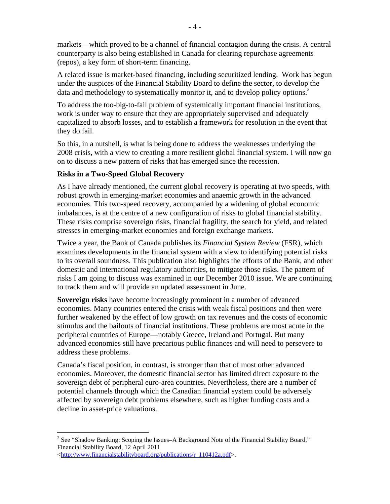markets—which proved to be a channel of financial contagion during the crisis. A central counterparty is also being established in Canada for clearing repurchase agreements (repos), a key form of short-term financing.

A related issue is market-based financing, including securitized lending. Work has begun under the auspices of the Financial Stability Board to define the sector, to develop the data and methodology to systematically monitor it, and to develop policy options.<sup>2</sup>

To address the too-big-to-fail problem of systemically important financial institutions, work is under way to ensure that they are appropriately supervised and adequately capitalized to absorb losses, and to establish a framework for resolution in the event that they do fail.

So this, in a nutshell, is what is being done to address the weaknesses underlying the 2008 crisis, with a view to creating a more resilient global financial system. I will now go on to discuss a new pattern of risks that has emerged since the recession.

## **Risks in a Two-Speed Global Recovery**

As I have already mentioned, the current global recovery is operating at two speeds, with robust growth in emerging-market economies and anaemic growth in the advanced economies. This two-speed recovery, accompanied by a widening of global economic imbalances, is at the centre of a new configuration of risks to global financial stability. These risks comprise sovereign risks, financial fragility, the search for yield, and related stresses in emerging-market economies and foreign exchange markets.

Twice a year, the Bank of Canada publishes its *Financial System Review* (FSR), which examines developments in the financial system with a view to identifying potential risks to its overall soundness. This publication also highlights the efforts of the Bank, and other domestic and international regulatory authorities, to mitigate those risks. The pattern of risks I am going to discuss was examined in our December 2010 issue. We are continuing to track them and will provide an updated assessment in June.

**Sovereign risks** have become increasingly prominent in a number of advanced economies. Many countries entered the crisis with weak fiscal positions and then were further weakened by the effect of low growth on tax revenues and the costs of economic stimulus and the bailouts of financial institutions. These problems are most acute in the peripheral countries of Europe—notably Greece, Ireland and Portugal. But many advanced economies still have precarious public finances and will need to persevere to address these problems.

Canada's fiscal position, in contrast, is stronger than that of most other advanced economies. Moreover, the domestic financial sector has limited direct exposure to the sovereign debt of peripheral euro-area countries. Nevertheless, there are a number of potential channels through which the Canadian financial system could be adversely affected by sovereign debt problems elsewhere, such as higher funding costs and a decline in asset-price valuations.

1

<sup>2</sup> See "Shadow Banking: Scoping the Issues**–**A Background Note of the Financial Stability Board," Financial Stability Board, 12 April 2011

<sup>&</sup>lt;http://www.financialstabilityboard.org/publications/r\_110412a.pdf>.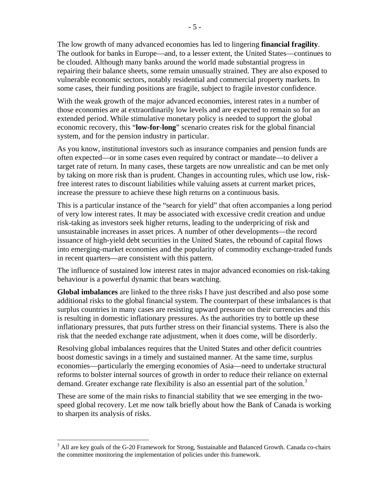The low growth of many advanced economies has led to lingering **financial fragility**. The outlook for banks in Europe—and, to a lesser extent, the United States—continues to be clouded. Although many banks around the world made substantial progress in repairing their balance sheets, some remain unusually strained. They are also exposed to vulnerable economic sectors, notably residential and commercial property markets. In some cases, their funding positions are fragile, subject to fragile investor confidence.

With the weak growth of the major advanced economies, interest rates in a number of those economies are at extraordinarily low levels and are expected to remain so for an extended period. While stimulative monetary policy is needed to support the global economic recovery, this "**low-for-long**" scenario creates risk for the global financial system, and for the pension industry in particular.

As you know, institutional investors such as insurance companies and pension funds are often expected—or in some cases even required by contract or mandate—to deliver a target rate of return. In many cases, these targets are now unrealistic and can be met only by taking on more risk than is prudent. Changes in accounting rules, which use low, riskfree interest rates to discount liabilities while valuing assets at current market prices, increase the pressure to achieve these high returns on a continuous basis.

This is a particular instance of the "search for yield" that often accompanies a long period of very low interest rates. It may be associated with excessive credit creation and undue risk-taking as investors seek higher returns, leading to the underpricing of risk and unsustainable increases in asset prices. A number of other developments—the record issuance of high-yield debt securities in the United States, the rebound of capital flows into emerging-market economies and the popularity of commodity exchange-traded funds in recent quarters—are consistent with this pattern.

The influence of sustained low interest rates in major advanced economies on risk-taking behaviour is a powerful dynamic that bears watching.

**Global imbalances** are linked to the three risks I have just described and also pose some additional risks to the global financial system. The counterpart of these imbalances is that surplus countries in many cases are resisting upward pressure on their currencies and this is resulting in domestic inflationary pressures. As the authorities try to bottle up these inflationary pressures, that puts further stress on their financial systems. There is also the risk that the needed exchange rate adjustment, when it does come, will be disorderly.

Resolving global imbalances requires that the United States and other deficit countries boost domestic savings in a timely and sustained manner. At the same time, surplus economies—particularly the emerging economies of Asia—need to undertake structural reforms to bolster internal sources of growth in order to reduce their reliance on external demand. Greater exchange rate flexibility is also an essential part of the solution.<sup>3</sup>

These are some of the main risks to financial stability that we see emerging in the twospeed global recovery. Let me now talk briefly about how the Bank of Canada is working to sharpen its analysis of risks.

1

<sup>&</sup>lt;sup>3</sup> All are key goals of the G-20 Framework for Strong, Sustainable and Balanced Growth. Canada co-chairs the committee monitoring the implementation of policies under this framework.